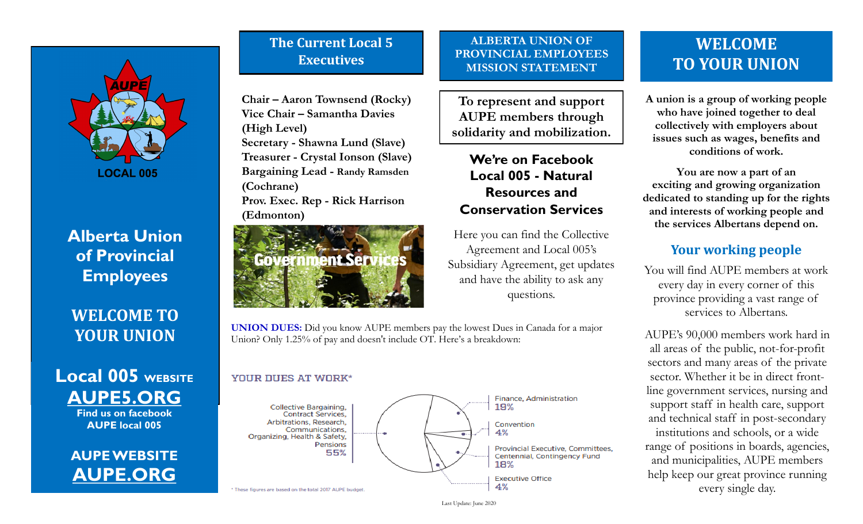

**Alberta Union of Provincial Employees**

**WELCOME TO YOUR UNION**

## **Local 005 WEBSITE AUPE5.ORG Find us on facebook**

**AUPE local 005**

# **AUPE WEBSITE AUPE.ORG**

# **The Current Local 5 Executives**

**Chair – Aaron Townsend (Rocky) Vice Chair – Samantha Davies (High Level) Secretary - Shawna Lund (Slave) Treasurer - Crystal Ionson (Slave) Bargaining Lead - Randy Ramsden (Cochrane) Prov. Exec. Rep - Rick Harrison (Edmonton)**



#### **ALBERTA UNION OF PROVINCIAL EMPLOYEES MISSION STATEMENT**

**To represent and support AUPE members through solidarity and mobilization.**

## **We're on Facebook Local 005 - Natural Resources and Conservation Services**

Here you can find the Collective Agreement and Local 005's Subsidiary Agreement, get updates and have the ability to ask any questions.

**UNION DUES:** Did you know AUPE members pay the lowest Dues in Canada for a major Union? Only 1.25% of pay and doesn't include OT. Here's a breakdown:

#### YOUR DUES AT WORK\*



# **WELCOME TO YOUR UNION**

**A union is a group of working people who have joined together to deal collectively with employers about issues such as wages, benefits and conditions of work.**

**You are now a part of an exciting and growing organization dedicated to standing up for the rights and interests of working people and the services Albertans depend on.**

## **Your working people**

You will find AUPE members at work every day in every corner of this province providing a vast range of services to Albertans.

AUPE's 90,000 members work hard in all areas of the public, not-for-profit sectors and many areas of the private sector. Whether it be in direct frontline government services, nursing and support staff in health care, support and technical staff in post-secondary institutions and schools, or a wide range of positions in boards, agencies, and municipalities, AUPE members help keep our great province running every single day.

Last Update: June 2020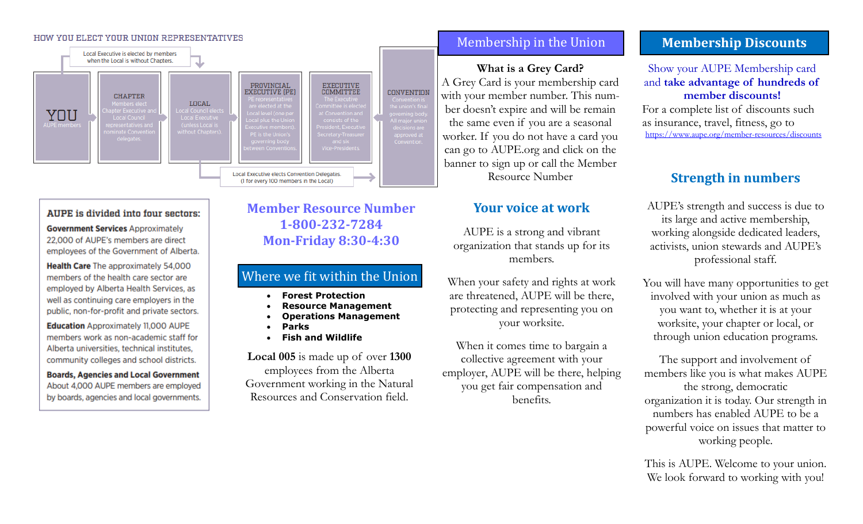#### HOW YOU ELECT YOUR UNION REPRESENTATIVES



#### AUPE is divided into four sectors:

**Government Services Approximately** 22,000 of AUPE's members are direct employees of the Government of Alberta.

Health Care The approximately 54,000 members of the health care sector are employed by Alberta Health Services, as well as continuing care employers in the public, non-for-profit and private sectors.

**Education** Approximately 11,000 AUPE members work as non-academic staff for Alberta universities, technical institutes, community colleges and school districts.

**Boards, Agencies and Local Government** About 4,000 AUPE members are employed by boards, agencies and local governments.

### **Member Resource Number 1-800-232-7284 Mon-Friday 8:30-4:30**

### Where we fit within the Union

- **Forest Protection**
- **Resource Management**
- **Operations Management**
- **Parks**
- **Fish and Wildlife**

**Local 005** is made up of over **1300** employees from the Alberta Government working in the Natural Resources and Conservation field.

#### Membership in the Union

**What is a Grey Card?**  A Grey Card is your membership card with your member number. This number doesn't expire and will be remain the same even if you are a seasonal worker. If you do not have a card you can go to AUPE.org and click on the banner to sign up or call the Member Resource Number

#### **Your voice at work**

AUPE is a strong and vibrant organization that stands up for its members.

When your safety and rights at work are threatened, AUPE will be there, protecting and representing you on your worksite.

When it comes time to bargain a collective agreement with your employer, AUPE will be there, helping you get fair compensation and benefits.

### **Membership Discounts**

#### Show your AUPE Membership card and **take advantage of hundreds of member discounts!**

For a complete list of discounts such as insurance, travel, fitness, go to <https://www.aupe.org/member-resources/discounts>

#### **Strength in numbers**

AUPE's strength and success is due to its large and active membership, working alongside dedicated leaders, activists, union stewards and AUPE's professional staff.

You will have many opportunities to get involved with your union as much as you want to, whether it is at your worksite, your chapter or local, or through union education programs.

The support and involvement of members like you is what makes AUPE the strong, democratic organization it is today. Our strength in numbers has enabled AUPE to be a powerful voice on issues that matter to working people.

This is AUPE. Welcome to your union. We look forward to working with you!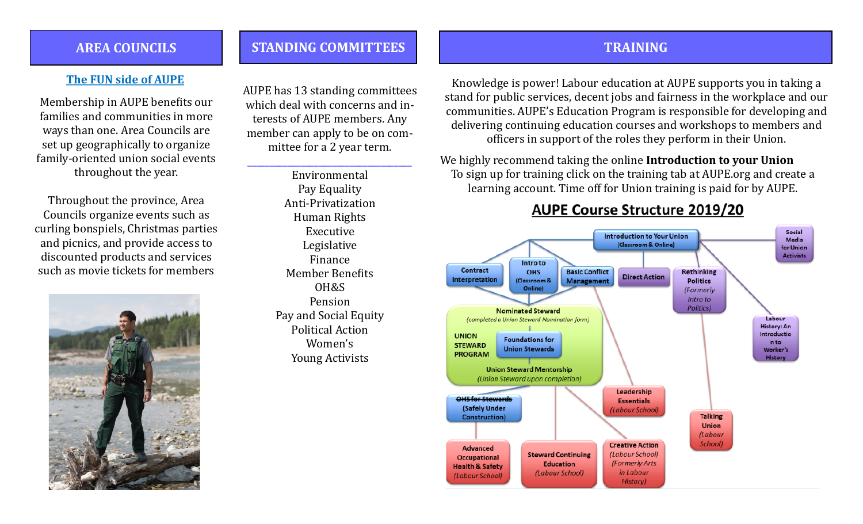### **AREA COUNCILS**

#### **The FUN side of AUPE**

Membership in AUPE benefits our families and communities in more ways than one. Area Councils are set up geographically to organize family-oriented union social events throughout the year.

Throughout the province, Area Councils organize events such as curling bonspiels, Christmas parties and picnics, and provide access to discounted products and services such as movie tickets for members



AUPE has 13 standing committees which deal with concerns and interests of AUPE members. Any member can apply to be on committee for a 2 year term.

\_\_\_\_\_\_\_\_\_\_\_\_\_\_\_\_\_\_\_\_\_\_\_\_\_\_\_\_\_\_\_\_\_\_\_\_\_

**STANDING COMMITTEES**

Environmental Pay Equality Anti-Privatization Human Rights Executive Legislative Finance Member Benefits OH&S Pension Pay and Social Equity Political Action Women's Young Activists

### **TRAINING**

Knowledge is power! Labour education at AUPE supports you in taking a stand for public services, decent jobs and fairness in the workplace and our communities. AUPE's Education Program is responsible for developing and delivering continuing education courses and workshops to members and officers in support of the roles they perform in their Union.

We highly recommend taking the online **Introduction to your Union**  To sign up for training click on the training tab at AUPE.org and create a learning account. Time off for Union training is paid for by AUPE.

## **AUPE Course Structure 2019/20**